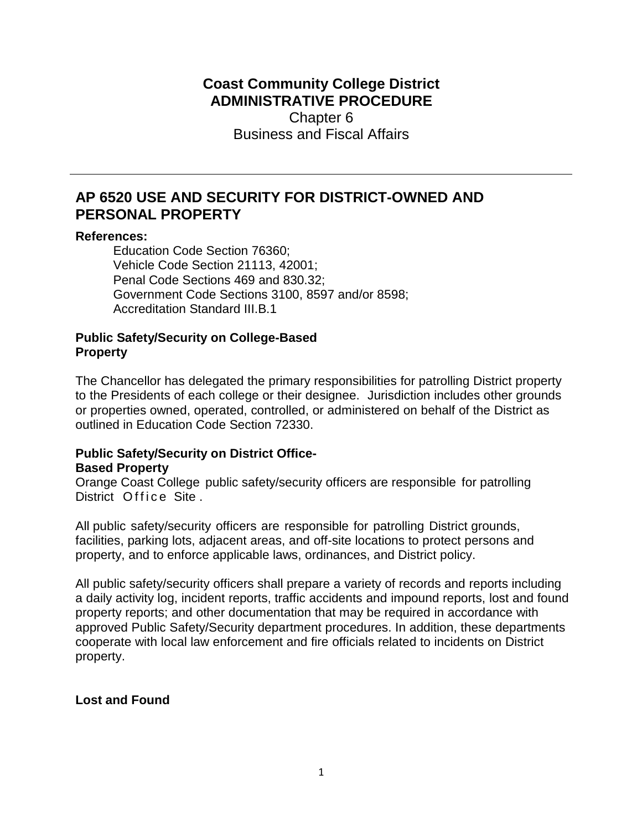# **Coast Community College District ADMINISTRATIVE PROCEDURE**  Chapter 6 Business and Fiscal Affairs

# **AP 6520 USE AND SECURITY FOR DISTRICT-OWNED AND PERSONAL PROPERTY**

#### **References:**

Education Code Section 76360; Vehicle Code Section 21113, 42001; Penal Code Sections 469 and 830.32; Government Code Sections 3100, 8597 and/or 8598; Accreditation Standard III.B.1

### **Public Safety/Security on College-Based Property**

The Chancellor has delegated the primary responsibilities for patrolling District property to the Presidents of each college or their designee. Jurisdiction includes other grounds or properties owned, operated, controlled, or administered on behalf of the District as outlined in Education Code Section 72330.

# **Public Safety/Security on District Office-Based Property**

Orange Coast College public safety/security officers are responsible for patrolling District Office Site.

All public safety/security officers are responsible for patrolling District grounds, facilities, parking lots, adjacent areas, and off-site locations to protect persons and property, and to enforce applicable laws, ordinances, and District policy.

All public safety/security officers shall prepare a variety of records and reports including a daily activity log, incident reports, traffic accidents and impound reports, lost and found property reports; and other documentation that may be required in accordance with approved Public Safety/Security department procedures. In addition, these departments cooperate with local law enforcement and fire officials related to incidents on District property.

## **Lost and Found**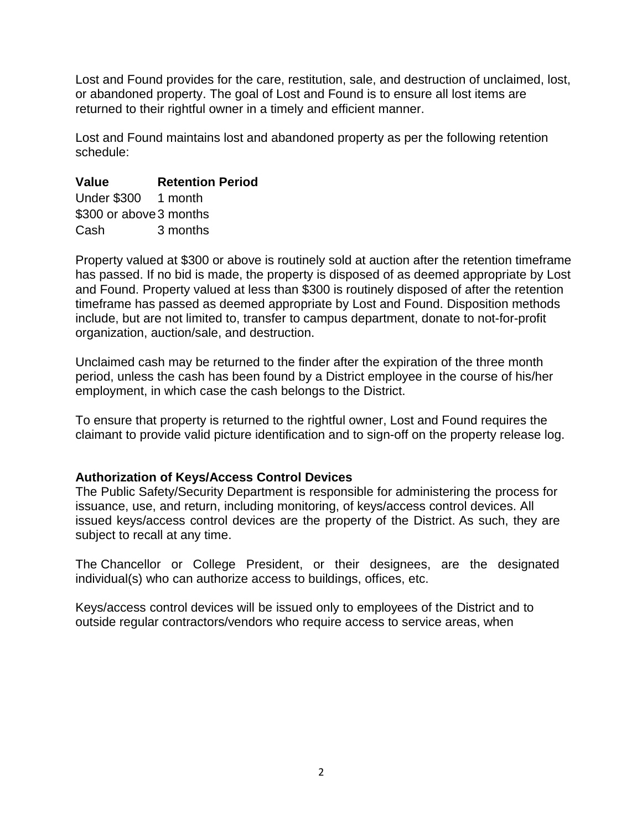Lost and Found provides for the care, restitution, sale, and destruction of unclaimed, lost, or abandoned property. The goal of Lost and Found is to ensure all lost items are returned to their rightful owner in a timely and efficient manner.

Lost and Found maintains lost and abandoned property as per the following retention schedule:

## **Value Retention Period**

Under \$300 1 month \$300 or above 3 months Cash 3 months

Property valued at \$300 or above is routinely sold at auction after the retention timeframe has passed. If no bid is made, the property is disposed of as deemed appropriate by Lost and Found. Property valued at less than \$300 is routinely disposed of after the retention timeframe has passed as deemed appropriate by Lost and Found. Disposition methods include, but are not limited to, transfer to campus department, donate to not-for-profit organization, auction/sale, and destruction.

Unclaimed cash may be returned to the finder after the expiration of the three month period, unless the cash has been found by a District employee in the course of his/her employment, in which case the cash belongs to the District.

To ensure that property is returned to the rightful owner, Lost and Found requires the claimant to provide valid picture identification and to sign-off on the property release log.

## **Authorization of Keys/Access Control Devices**

The Public Safety/Security Department is responsible for administering the process for issuance, use, and return, including monitoring, of keys/access control devices. All issued keys/access control devices are the property of the District. As such, they are subject to recall at any time.

The Chancellor or College President, or their designees, are the designated individual(s) who can authorize access to buildings, offices, etc.

Keys/access control devices will be issued only to employees of the District and to outside regular contractors/vendors who require access to service areas, when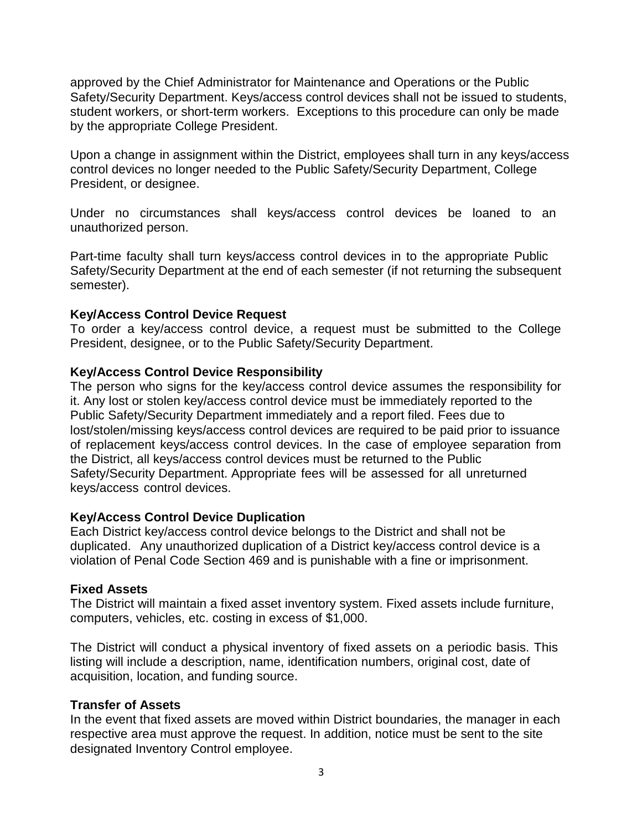approved by the Chief Administrator for Maintenance and Operations or the Public Safety/Security Department. Keys/access control devices shall not be issued to students, student workers, or short-term workers. Exceptions to this procedure can only be made by the appropriate College President.

Upon a change in assignment within the District, employees shall turn in any keys/access control devices no longer needed to the Public Safety/Security Department, College President, or designee.

Under no circumstances shall keys/access control devices be loaned to an unauthorized person.

Part-time faculty shall turn keys/access control devices in to the appropriate Public Safety/Security Department at the end of each semester (if not returning the subsequent semester).

#### **Key/Access Control Device Request**

To order a key/access control device, a request must be submitted to the College President, designee, or to the Public Safety/Security Department.

#### **Key/Access Control Device Responsibility**

The person who signs for the key/access control device assumes the responsibility for it. Any lost or stolen key/access control device must be immediately reported to the Public Safety/Security Department immediately and a report filed. Fees due to lost/stolen/missing keys/access control devices are required to be paid prior to issuance of replacement keys/access control devices. In the case of employee separation from the District, all keys/access control devices must be returned to the Public Safety/Security Department. Appropriate fees will be assessed for all unreturned keys/access control devices.

## **Key/Access Control Device Duplication**

Each District key/access control device belongs to the District and shall not be duplicated. Any unauthorized duplication of a District key/access control device is a violation of Penal Code Section 469 and is punishable with a fine or imprisonment.

#### **Fixed Assets**

The District will maintain a fixed asset inventory system. Fixed assets include furniture, computers, vehicles, etc. costing in excess of \$1,000.

The District will conduct a physical inventory of fixed assets on a periodic basis. This listing will include a description, name, identification numbers, original cost, date of acquisition, location, and funding source.

## **Transfer of Assets**

In the event that fixed assets are moved within District boundaries, the manager in each respective area must approve the request. In addition, notice must be sent to the site designated Inventory Control employee.